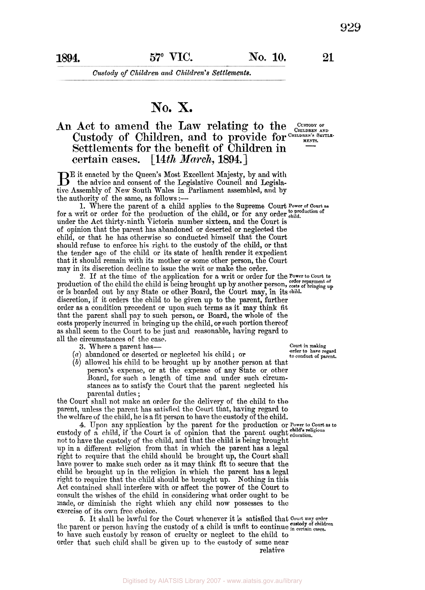*Custody of Children and Children's Settlements.* 

## **No. X.**

## An Act to amend the Law relating to the CHILDREN AND Custody of Children, and to provide for CHILDREN'S SETTLE-**Settlements for the benefit of Children in certain cases. [14th** *March,* **1894.]**

But enacted by the Queen's Most Excellent Majesty, by and with the advice and consent of the Legislative Council and Legislative Assembly of New South Wales in Parliament assembled, and by the authority of the same, as follows :-

for a writ or order for the production of the child, or for any order  $_{\text{child}}^{\text{to production of}}$ under the Act thirty-ninth Victoria number sixteen, and the Court is of opinion that the parent has abandoned or deserted or neglected the child, or that he has otherwise so conducted himself that the Court should refuse to enforce his right to the custody of the child, or that the tender age of the child or its state of health render it expedient that it should remain with its mother or some other person, the Court may in its discretion decline to issue the writ or make the order. 1. Where the parent of a child applies to the Supreme Court **Power of Court as** 

or is boarded out by any State or other Board, the Court may, in its **child.**  discretion, if it orders the child to be given up to the parent, further order as a condition precedent or upon such terms as it may think fit that the parent shall pay to such person, **or** Board, the whole of the costs properly incurred in bringing up the child, or such portion thereof as shall seem to the Court to be just and reasonable, having regard to all the circumstances of the case, 2. If at the time of the application for a writ or order for the Power to Court to production of the child the child is being brought up by another person, order repayment of

**3.** Where a parent has-

- *(a)* abandoned or deserted or neglected his child ; or
- *(b)* allowed his child to be brought up by another person at that person's expense, or at the expense of any State or other Board, for such a, length of time and under such circumstances as to satisfy the Court that the parent neglected his parental duties ;

the Court shall not make an order for the delivery of the child to the parent, unless the parent has satisfied the Court that, having regard to the welfare of the child, he is a fit person to have the custody of the child.

**4.** Upon any application by the parent for the production or **Power** to **Court as to**  custody of a child, if the Court is of opinion that the parent ought *education*. not to have the custody of the child, and that the child is being brought up in a different religion from that in which the parent has a legal right to require that the child should be brought up, the Court shall have power to make such order as it may think fit to secure that the child be brought up in the religion in which the parent has a legal right to require that the child should be brought up. Nothing in this Act contained shall interfere with or affect the power of the Court to consult the wishes of the child in considering what order ought to be made, or diminish the right which any child now possesses to the exercise of its own free choice.

5. It shall be lawful for the Court whenever it is satisfied that Court may order the parent or person having the custody of a child is unfit to continue in certain cases. to have such custody by reason of cruelty or neglect to the child to order that such child shall be given up to the custody of some near relative

**Court in making order to have regard to conduct of parent.** 

Digitised by AIATSIS Library 2007 - www.aiatsis.gov.au/library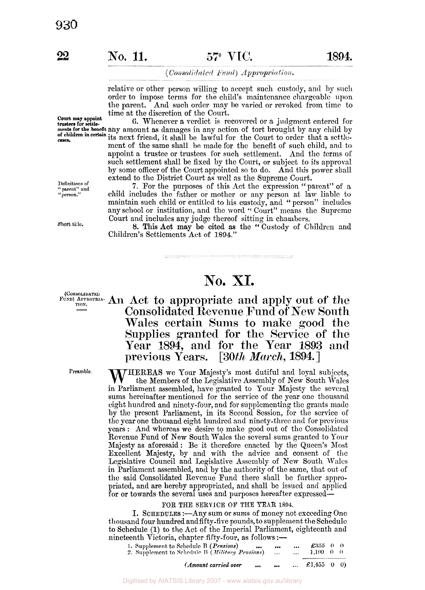**Court may appoint trustees for settle-**

#### (Consolidated Fund) Appropriation.

relative or other person willing to accept such custody, and by **such**  order to impose terms for the child's maintenance chargeable upon the parent. And such order may he varied or revoked from time to time at the discretion of the Court.

*6.* Whenever a verdict is recovered or a judgment entered for **ments for the benefit** any amount as damages in any action of tort brought by any child by its next friend, it shall be lawful for the Court to order that a settlement of the same shall be made for the benefit of such child, and to appoint a trustee or trustees for such settlement. And the terms of such settlement shall be fixed by the Court, or subject to its approval by some officer of the Court appointed so to do. And this power shall extend to the District Court as well as the Supreme Court. **of children in certain eases.** 

> **7.** For the purposes of this Act the expression "parent" of a child includes the father or mother or any person at law liable to maintain such child or entitled to his custody, and "person" includes any school or institution, and the word '' Court" means the Supreme Court and includes any judge thereof sitting in chambers.

Short title. **8. This Act may be cited as the "Custody of Children and** Children's Settlements Act of 1894."

# **No. XI.**

### **FUND)** APPROPRIA- An Act to appropriate and apply out of the **Consolidated Revenue Fund of New South Wales certain Sums to** make **good the Supplies granted for the Service of the Year 1894, and for the Year 1893 and previous Years.** *[30th March,* **1894.]**

Preamble. WHEREAS we Your Majesty's most dutiful and loyal subjects, the Members of the Legislative Assembly of New South Wales in Parliament assembled, have granted to Your Majesty the several sums hereinafter mentioned for the service of the year one thousand eight hundred and ninety-four, and for supplementing the grants made by the present Parliament, in its Second Session, for the service of the year one thousand eight hundred and ninety-three and for previous years : And whereas we desire to make good out of the Consolidated Revenue Fund of New South Wales the several sums granted to Your Majesty as aforesaid : Be it therefore enacted by the Queen's Most Excellent Majesty, by and with the advice and consent of the Legislative Council and Legislative Assembly of New South Wales in Parliament assembled, and by the authority of the same, that out of the said Consolidated Revenue Fund there shall be further appropriated, and are hereby appropriated, and shall be issued and applied for or towards the several uses and purposes hereafter expressed-

#### **FOR THE SERVICE OF THE YEAR 1894.**

I. SCHEDULES:—Any sum or sums of money not exceeding One thousand four hundred and fifty-five pounds, to supplement the Schedule to Schedule (1) to the Act of the Imperial Parliament, eighteenth and w schedule (1) while Act of the Imperial Tamalities<br>nineteenth Victoria, chapter fifty-four, as follows :--

| (Amount carried over<br>$\cdots$                                                           |              | $\cdots$             | £1,455 0 0)      |  |  |
|--------------------------------------------------------------------------------------------|--------------|----------------------|------------------|--|--|
| <br>2. Supplement to Schedule B (Military Pensions)                                        | <br>$\cdots$ | $\cdots$<br>$\cdots$ | 1.100 0 0        |  |  |
| eenth victoria, chapter fifty-four, as follows:—<br>1. Supplement to Schedule B (Pensions) |              |                      | $\pounds 355000$ |  |  |

**Definitions of**  " **parent" and** " **person.''** 

**(CONSOLIDATED**